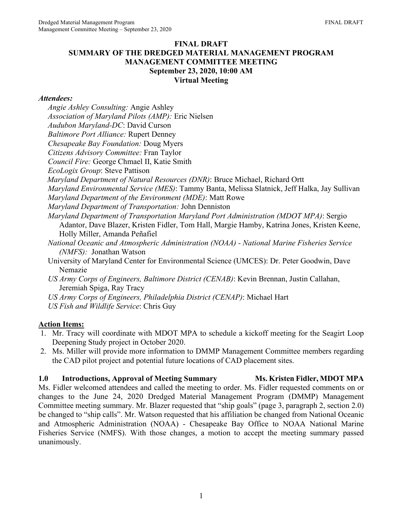#### **FINAL DRAFT SUMMARY OF THE DREDGED MATERIAL MANAGEMENT PROGRAM MANAGEMENT COMMITTEE MEETING September 23, 2020, 10:00 AM Virtual Meeting**

#### *Attendees:*

*Angie Ashley Consulting:* Angie Ashley *Association of Maryland Pilots (AMP):* Eric Nielsen *Audubon Maryland-DC*: David Curson *Baltimore Port Alliance:* Rupert Denney *Chesapeake Bay Foundation:* Doug Myers *Citizens Advisory Committee:* Fran Taylor *Council Fire:* George Chmael II, Katie Smith *EcoLogix Group*: Steve Pattison *Maryland Department of Natural Resources (DNR)*: Bruce Michael, Richard Ortt *Maryland Environmental Service (MES)*: Tammy Banta, Melissa Slatnick, Jeff Halka, Jay Sullivan *Maryland Department of the Environment (MDE)*: Matt Rowe *Maryland Department of Transportation:* John Denniston *Maryland Department of Transportation Maryland Port Administration (MDOT MPA)*: Sergio Adantor, Dave Blazer, Kristen Fidler, Tom Hall, Margie Hamby, Katrina Jones, Kristen Keene, Holly Miller, Amanda Peñafiel *National Oceanic and Atmospheric Administration (NOAA) - National Marine Fisheries Service (NMFS):* Jonathan Watson University of Maryland Center for Environmental Science (UMCES): Dr. Peter Goodwin, Dave Nemazie *US Army Corps of Engineers, Baltimore District (CENAB)*: Kevin Brennan, Justin Callahan, Jeremiah Spiga, Ray Tracy *US Army Corps of Engineers, Philadelphia District (CENAP)*: Michael Hart *US Fish and Wildlife Service*: Chris Guy

# **Action Items:**

- 1. Mr. Tracy will coordinate with MDOT MPA to schedule a kickoff meeting for the Seagirt Loop Deepening Study project in October 2020.
- 2. Ms. Miller will provide more information to DMMP Management Committee members regarding the CAD pilot project and potential future locations of CAD placement sites.

# 1.0 **Introductions, Approval of Meeting Summary Ms. Kristen Fidler, MDOT MPA**

Ms. Fidler welcomed attendees and called the meeting to order. Ms. Fidler requested comments on or changes to the June 24, 2020 Dredged Material Management Program (DMMP) Management Committee meeting summary. Mr. Blazer requested that "ship goals" (page 3, paragraph 2, section 2.0) be changed to "ship calls". Mr. Watson requested that his affiliation be changed from National Oceanic and Atmospheric Administration (NOAA) - Chesapeake Bay Office to NOAA National Marine Fisheries Service (NMFS). With those changes, a motion to accept the meeting summary passed unanimously.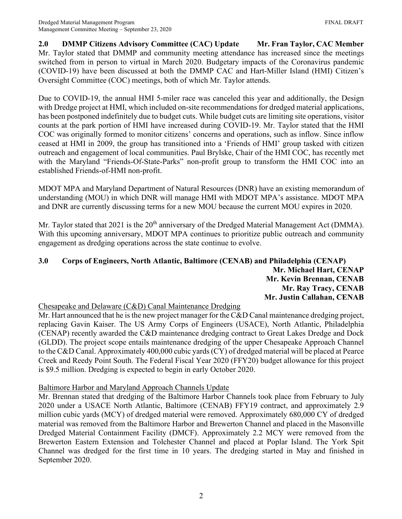**2.0 DMMP Citizens Advisory Committee (CAC) Update Mr. Fran Taylor, CAC Member** Mr. Taylor stated that DMMP and community meeting attendance has increased since the meetings switched from in person to virtual in March 2020. Budgetary impacts of the Coronavirus pandemic (COVID-19) have been discussed at both the DMMP CAC and Hart-Miller Island (HMI) Citizen's Oversight Committee (COC) meetings, both of which Mr. Taylor attends.

Due to COVID-19, the annual HMI 5-miler race was canceled this year and additionally, the Design with Dredge project at HMI, which included on-site recommendations for dredged material applications, has been postponed indefinitely due to budget cuts. While budget cuts are limiting site operations, visitor counts at the park portion of HMI have increased during COVID-19. Mr. Taylor stated that the HMI COC was originally formed to monitor citizens' concerns and operations, such as inflow. Since inflow ceased at HMI in 2009, the group has transitioned into a 'Friends of HMI' group tasked with citizen outreach and engagement of local communities. Paul Brylske, Chair of the HMI COC, has recently met with the Maryland "Friends-Of-State-Parks" non-profit group to transform the HMI COC into an established Friends-of-HMI non-profit.

MDOT MPA and Maryland Department of Natural Resources (DNR) have an existing memorandum of understanding (MOU) in which DNR will manage HMI with MDOT MPA's assistance. MDOT MPA and DNR are currently discussing terms for a new MOU because the current MOU expires in 2020.

Mr. Taylor stated that 2021 is the 20<sup>th</sup> anniversary of the Dredged Material Management Act (DMMA). With this upcoming anniversary, MDOT MPA continues to prioritize public outreach and community engagement as dredging operations across the state continue to evolve.

#### **3.0 Corps of Engineers, North Atlantic, Baltimore (CENAB) and Philadelphia (CENAP) Mr. Michael Hart, CENAP Mr. Kevin Brennan, CENAB Mr. Ray Tracy, CENAB Mr. Justin Callahan, CENAB**

# Chesapeake and Delaware (C&D) Canal Maintenance Dredging

Mr. Hart announced that he is the new project manager for the C&D Canal maintenance dredging project, replacing Gavin Kaiser. The US Army Corps of Engineers (USACE), North Atlantic, Philadelphia (CENAP) recently awarded the C&D maintenance dredging contract to Great Lakes Dredge and Dock (GLDD). The project scope entails maintenance dredging of the upper Chesapeake Approach Channel to the C&D Canal. Approximately 400,000 cubic yards (CY) of dredged material will be placed at Pearce Creek and Reedy Point South. The Federal Fiscal Year 2020 (FFY20) budget allowance for this project is \$9.5 million. Dredging is expected to begin in early October 2020.

# Baltimore Harbor and Maryland Approach Channels Update

Mr. Brennan stated that dredging of the Baltimore Harbor Channels took place from February to July 2020 under a USACE North Atlantic, Baltimore (CENAB) FFY19 contract, and approximately 2.9 million cubic yards (MCY) of dredged material were removed. Approximately 680,000 CY of dredged material was removed from the Baltimore Harbor and Brewerton Channel and placed in the Masonville Dredged Material Containment Facility (DMCF). Approximately 2.2 MCY were removed from the Brewerton Eastern Extension and Tolchester Channel and placed at Poplar Island. The York Spit Channel was dredged for the first time in 10 years. The dredging started in May and finished in September 2020.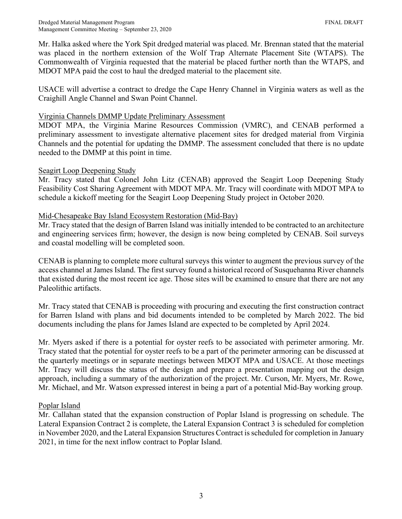Mr. Halka asked where the York Spit dredged material was placed. Mr. Brennan stated that the material was placed in the northern extension of the Wolf Trap Alternate Placement Site (WTAPS). The Commonwealth of Virginia requested that the material be placed further north than the WTAPS, and MDOT MPA paid the cost to haul the dredged material to the placement site.

USACE will advertise a contract to dredge the Cape Henry Channel in Virginia waters as well as the Craighill Angle Channel and Swan Point Channel.

#### Virginia Channels DMMP Update Preliminary Assessment

MDOT MPA, the Virginia Marine Resources Commission (VMRC), and CENAB performed a preliminary assessment to investigate alternative placement sites for dredged material from Virginia Channels and the potential for updating the DMMP. The assessment concluded that there is no update needed to the DMMP at this point in time.

#### Seagirt Loop Deepening Study

Mr. Tracy stated that Colonel John Litz (CENAB) approved the Seagirt Loop Deepening Study Feasibility Cost Sharing Agreement with MDOT MPA. Mr. Tracy will coordinate with MDOT MPA to schedule a kickoff meeting for the Seagirt Loop Deepening Study project in October 2020.

#### Mid-Chesapeake Bay Island Ecosystem Restoration (Mid-Bay)

Mr. Tracy stated that the design of Barren Island was initially intended to be contracted to an architecture and engineering services firm; however, the design is now being completed by CENAB. Soil surveys and coastal modelling will be completed soon.

CENAB is planning to complete more cultural surveys this winter to augment the previous survey of the access channel at James Island. The first survey found a historical record of Susquehanna River channels that existed during the most recent ice age. Those sites will be examined to ensure that there are not any Paleolithic artifacts.

Mr. Tracy stated that CENAB is proceeding with procuring and executing the first construction contract for Barren Island with plans and bid documents intended to be completed by March 2022. The bid documents including the plans for James Island are expected to be completed by April 2024.

Mr. Myers asked if there is a potential for oyster reefs to be associated with perimeter armoring. Mr. Tracy stated that the potential for oyster reefs to be a part of the perimeter armoring can be discussed at the quarterly meetings or in separate meetings between MDOT MPA and USACE. At those meetings Mr. Tracy will discuss the status of the design and prepare a presentation mapping out the design approach, including a summary of the authorization of the project. Mr. Curson, Mr. Myers, Mr. Rowe, Mr. Michael, and Mr. Watson expressed interest in being a part of a potential Mid-Bay working group.

# Poplar Island

Mr. Callahan stated that the expansion construction of Poplar Island is progressing on schedule. The Lateral Expansion Contract 2 is complete, the Lateral Expansion Contract 3 is scheduled for completion in November 2020, and the Lateral Expansion Structures Contract is scheduled for completion in January 2021, in time for the next inflow contract to Poplar Island.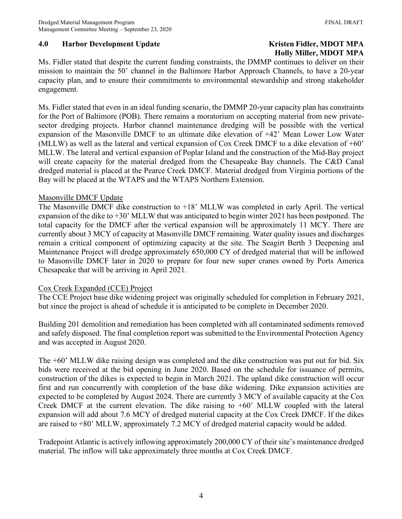# **4.0 • Harbor Development Update Community Community Research Research Fidler, MDOT MPA**

# **Holly Miller, MDOT MPA**

Ms. Fidler stated that despite the current funding constraints, the DMMP continues to deliver on their mission to maintain the 50' channel in the Baltimore Harbor Approach Channels, to have a 20-year capacity plan, and to ensure their commitments to environmental stewardship and strong stakeholder engagement.

Ms. Fidler stated that even in an ideal funding scenario, the DMMP 20-year capacity plan has constraints for the Port of Baltimore (POB). There remains a moratorium on accepting material from new privatesector dredging projects. Harbor channel maintenance dredging will be possible with the vertical expansion of the Masonville DMCF to an ultimate dike elevation of +42' Mean Lower Low Water (MLLW) as well as the lateral and vertical expansion of Cox Creek DMCF to a dike elevation of +60' MLLW. The lateral and vertical expansion of Poplar Island and the construction of the Mid-Bay project will create capacity for the material dredged from the Chesapeake Bay channels. The C&D Canal dredged material is placed at the Pearce Creek DMCF. Material dredged from Virginia portions of the Bay will be placed at the WTAPS and the WTAPS Northern Extension.

#### Masonville DMCF Update

The Masonville DMCF dike construction to +18' MLLW was completed in early April. The vertical expansion of the dike to +30' MLLW that was anticipated to begin winter 2021 has been postponed. The total capacity for the DMCF after the vertical expansion will be approximately 11 MCY. There are currently about 3 MCY of capacity at Masonville DMCF remaining. Water quality issues and discharges remain a critical component of optimizing capacity at the site. The Seagirt Berth 3 Deepening and Maintenance Project will dredge approximately 650,000 CY of dredged material that will be inflowed to Masonville DMCF later in 2020 to prepare for four new super cranes owned by Ports America Chesapeake that will be arriving in April 2021.

# Cox Creek Expanded (CCE) Project

The CCE Project base dike widening project was originally scheduled for completion in February 2021, but since the project is ahead of schedule it is anticipated to be complete in December 2020.

Building 201 demolition and remediation has been completed with all contaminated sediments removed and safely disposed. The final completion report was submitted to the Environmental Protection Agency and was accepted in August 2020.

The +60' MLLW dike raising design was completed and the dike construction was put out for bid. Six bids were received at the bid opening in June 2020. Based on the schedule for issuance of permits, construction of the dikes is expected to begin in March 2021. The upland dike construction will occur first and run concurrently with completion of the base dike widening. Dike expansion activities are expected to be completed by August 2024. There are currently 3 MCY of available capacity at the Cox Creek DMCF at the current elevation. The dike raising to +60' MLLW coupled with the lateral expansion will add about 7.6 MCY of dredged material capacity at the Cox Creek DMCF. If the dikes are raised to +80' MLLW, approximately 7.2 MCY of dredged material capacity would be added.

Tradepoint Atlantic is actively inflowing approximately 200,000 CY of their site's maintenance dredged material. The inflow will take approximately three months at Cox Creek DMCF.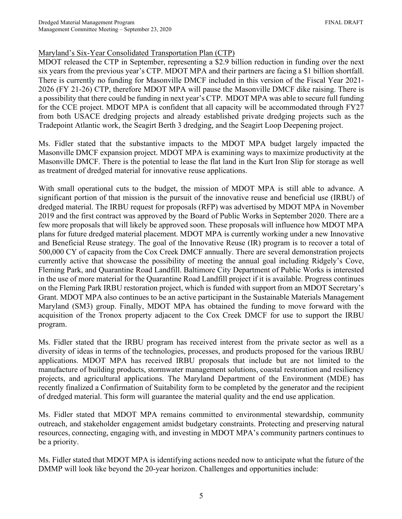# Maryland's Six-Year Consolidated Transportation Plan (CTP)

MDOT released the CTP in September, representing a \$2.9 billion reduction in funding over the next six years from the previous year's CTP. MDOT MPA and their partners are facing a \$1 billion shortfall. There is currently no funding for Masonville DMCF included in this version of the Fiscal Year 2021- 2026 (FY 21-26) CTP, therefore MDOT MPA will pause the Masonville DMCF dike raising. There is a possibility that there could be funding in next year's CTP. MDOT MPA was able to secure full funding for the CCE project. MDOT MPA is confident that all capacity will be accommodated through FY27 from both USACE dredging projects and already established private dredging projects such as the Tradepoint Atlantic work, the Seagirt Berth 3 dredging, and the Seagirt Loop Deepening project.

Ms. Fidler stated that the substantive impacts to the MDOT MPA budget largely impacted the Masonville DMCF expansion project. MDOT MPA is examining ways to maximize productivity at the Masonville DMCF. There is the potential to lease the flat land in the Kurt Iron Slip for storage as well as treatment of dredged material for innovative reuse applications.

With small operational cuts to the budget, the mission of MDOT MPA is still able to advance. A significant portion of that mission is the pursuit of the innovative reuse and beneficial use (IRBU) of dredged material. The IRBU request for proposals (RFP) was advertised by MDOT MPA in November 2019 and the first contract was approved by the Board of Public Works in September 2020. There are a few more proposals that will likely be approved soon. These proposals will influence how MDOT MPA plans for future dredged material placement. MDOT MPA is currently working under a new Innovative and Beneficial Reuse strategy. The goal of the Innovative Reuse (IR) program is to recover a total of 500,000 CY of capacity from the Cox Creek DMCF annually. There are several demonstration projects currently active that showcase the possibility of meeting the annual goal including Ridgely's Cove, Fleming Park, and Quarantine Road Landfill. Baltimore City Department of Public Works is interested in the use of more material for the Quarantine Road Landfill project if it is available. Progress continues on the Fleming Park IRBU restoration project, which is funded with support from an MDOT Secretary's Grant. MDOT MPA also continues to be an active participant in the Sustainable Materials Management Maryland (SM3) group. Finally, MDOT MPA has obtained the funding to move forward with the acquisition of the Tronox property adjacent to the Cox Creek DMCF for use to support the IRBU program.

Ms. Fidler stated that the IRBU program has received interest from the private sector as well as a diversity of ideas in terms of the technologies, processes, and products proposed for the various IRBU applications. MDOT MPA has received IRBU proposals that include but are not limited to the manufacture of building products, stormwater management solutions, coastal restoration and resiliency projects, and agricultural applications. The Maryland Department of the Environment (MDE) has recently finalized a Confirmation of Suitability form to be completed by the generator and the recipient of dredged material. This form will guarantee the material quality and the end use application.

Ms. Fidler stated that MDOT MPA remains committed to environmental stewardship, community outreach, and stakeholder engagement amidst budgetary constraints. Protecting and preserving natural resources, connecting, engaging with, and investing in MDOT MPA's community partners continues to be a priority.

Ms. Fidler stated that MDOT MPA is identifying actions needed now to anticipate what the future of the DMMP will look like beyond the 20-year horizon. Challenges and opportunities include: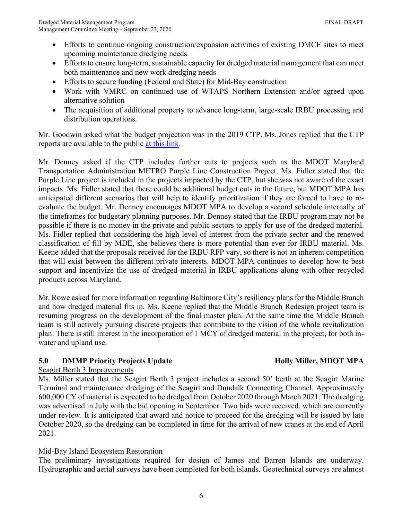- Efforts to continue ongoing construction/expansion activities of existing DMCF sites to meet upcoming maintenance dredging needs
- Efforts to ensure long-term, sustainable capacity for dredged material management that can meet both maintenance and new work dredging needs
- Efforts to secure funding (Federal and State) for Mid-Bay construction
- Work with VMRC on continued use of WTAPS Northern Extension and/or agreed upon alternative solution
- The acquisition of additional property to advance long-term, large-scale IRBU processing and distribution operations.

Mr. Goodwin asked what the budget projection was in the 2019 CTP. Ms. Jones replied that the CTP reports are available to the public [at this link.](http://www.mdot.maryland.gov/newMDOT/Planning/CTP/Previous_CTP_Index.html)

Mr. Denney asked if the CTP includes further cuts to projects such as the MDOT Maryland Transportation Administration METRO Purple Line Construction Project. Ms. Fidler stated that the Purple Line project is included in the projects impacted by the CTP, but she was not aware of the exact impacts. Ms. Fidler stated that there could be additional budget cuts in the future, but MDOT MPA has anticipated different scenarios that will help to identify prioritization if they are forced to have to reevaluate the budget. Mr. Denney encourages MDOT MPA to develop a second schedule internally of the timeframes for budgetary planning purposes. Mr. Denney stated that the IRBU program may not be possible if there is no money in the private and public sectors to apply for use of the dredged material. Ms. Fidler replied that considering the high level of interest from the private sector and the renewed classification of fill by MDE, she believes there is more potential than ever for IRBU material. Ms. Keene added that the proposals received for the IRBU RFP vary, so there is not an inherent competition that will exist between the different private interests. MDOT MPA continues to develop how to best support and incentivize the use of dredged material in IRBU applications along with other recycled products across Maryland.

Mr. Rowe asked for more information regarding Baltimore City's resiliency plans for the Middle Branch and how dredged material fits in. Ms. Keene replied that the Middle Branch Redesign project team is resuming progress on the development of the final master plan. At the same time the Middle Branch team is still actively pursuing discrete projects that contribute to the vision of the whole revitalization plan. There is still interest in the incorporation of 1 MCY of dredged material in the project, for both inwater and upland use.

# **5.0 DMMP Priority Projects Update Holly Miller, MDOT MPA**

# Seagirt Berth 3 Improvements

Ms. Miller stated that the Seagirt Berth 3 project includes a second 50' berth at the Seagirt Marine Terminal and maintenance dredging of the Seagirt and Dundalk Connecting Channel. Approximately 600,000 CY of material is expected to be dredged from October 2020 through March 2021. The dredging was advertised in July with the bid opening in September. Two bids were received, which are currently under review. It is anticipated that award and notice to proceed for the dredging will be issued by late October 2020, so the dredging can be completed in time for the arrival of new cranes at the end of April 2021.

# Mid-Bay Island Ecosystem Restoration

The preliminary investigations required for design of James and Barren Islands are underway. Hydrographic and aerial surveys have been completed for both islands. Geotechnical surveys are almost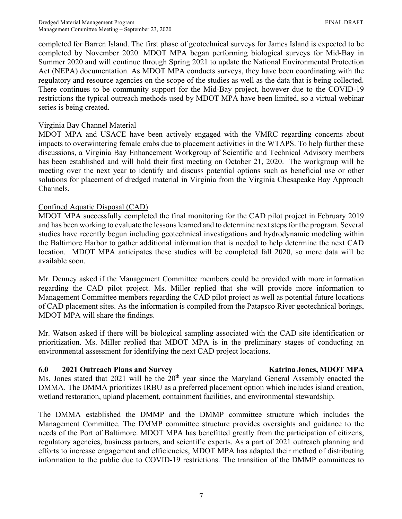completed for Barren Island. The first phase of geotechnical surveys for James Island is expected to be completed by November 2020. MDOT MPA began performing biological surveys for Mid-Bay in Summer 2020 and will continue through Spring 2021 to update the National Environmental Protection Act (NEPA) documentation. As MDOT MPA conducts surveys, they have been coordinating with the regulatory and resource agencies on the scope of the studies as well as the data that is being collected. There continues to be community support for the Mid-Bay project, however due to the COVID-19 restrictions the typical outreach methods used by MDOT MPA have been limited, so a virtual webinar series is being created.

#### Virginia Bay Channel Material

MDOT MPA and USACE have been actively engaged with the VMRC regarding concerns about impacts to overwintering female crabs due to placement activities in the WTAPS. To help further these discussions, a Virginia Bay Enhancement Workgroup of Scientific and Technical Advisory members has been established and will hold their first meeting on October 21, 2020. The workgroup will be meeting over the next year to identify and discuss potential options such as beneficial use or other solutions for placement of dredged material in Virginia from the Virginia Chesapeake Bay Approach Channels.

#### Confined Aquatic Disposal (CAD)

MDOT MPA successfully completed the final monitoring for the CAD pilot project in February 2019 and has been working to evaluate the lessons learned and to determine next steps for the program. Several studies have recently begun including geotechnical investigations and hydrodynamic modeling within the Baltimore Harbor to gather additional information that is needed to help determine the next CAD location. MDOT MPA anticipates these studies will be completed fall 2020, so more data will be available soon.

Mr. Denney asked if the Management Committee members could be provided with more information regarding the CAD pilot project. Ms. Miller replied that she will provide more information to Management Committee members regarding the CAD pilot project as well as potential future locations of CAD placement sites. As the information is compiled from the Patapsco River geotechnical borings, MDOT MPA will share the findings.

Mr. Watson asked if there will be biological sampling associated with the CAD site identification or prioritization. Ms. Miller replied that MDOT MPA is in the preliminary stages of conducting an environmental assessment for identifying the next CAD project locations.

#### **6.0 2021 Outreach Plans and Survey Katrina Jones, MDOT MPA**

Ms. Jones stated that 2021 will be the  $20<sup>th</sup>$  year since the Maryland General Assembly enacted the DMMA. The DMMA prioritizes IRBU as a preferred placement option which includes island creation, wetland restoration, upland placement, containment facilities, and environmental stewardship.

The DMMA established the DMMP and the DMMP committee structure which includes the Management Committee. The DMMP committee structure provides oversights and guidance to the needs of the Port of Baltimore. MDOT MPA has benefitted greatly from the participation of citizens, regulatory agencies, business partners, and scientific experts. As a part of 2021 outreach planning and efforts to increase engagement and efficiencies, MDOT MPA has adapted their method of distributing information to the public due to COVID-19 restrictions. The transition of the DMMP committees to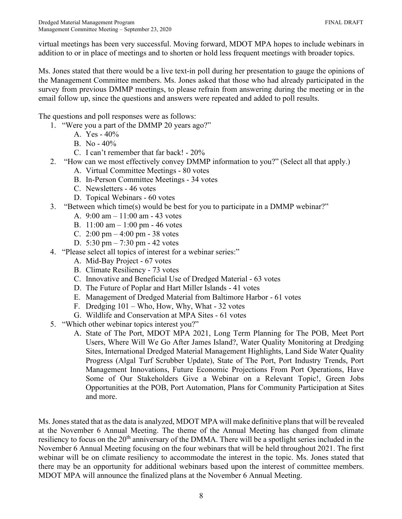virtual meetings has been very successful. Moving forward, MDOT MPA hopes to include webinars in addition to or in place of meetings and to shorten or hold less frequent meetings with broader topics.

Ms. Jones stated that there would be a live text-in poll during her presentation to gauge the opinions of the Management Committee members. Ms. Jones asked that those who had already participated in the survey from previous DMMP meetings, to please refrain from answering during the meeting or in the email follow up, since the questions and answers were repeated and added to poll results.

The questions and poll responses were as follows:

- 1. "Were you a part of the DMMP 20 years ago?"
	- A. Yes 40%
	- B. No 40%
	- C. I can't remember that far back! 20%
- 2. "How can we most effectively convey DMMP information to you?" (Select all that apply.)
	- A. Virtual Committee Meetings 80 votes
	- B. In-Person Committee Meetings 34 votes
	- C. Newsletters 46 votes
	- D. Topical Webinars 60 votes
- 3. "Between which time(s) would be best for you to participate in a DMMP webinar?"
	- A. 9:00 am 11:00 am 43 votes
	- B. 11:00 am 1:00 pm 46 votes
	- C.  $2:00 \text{ pm} 4:00 \text{ pm} 38 \text{ votes}$
	- D. 5:30 pm 7:30 pm 42 votes
- 4. "Please select all topics of interest for a webinar series:"
	- A. Mid-Bay Project 67 votes
	- B. Climate Resiliency 73 votes
	- C. Innovative and Beneficial Use of Dredged Material 63 votes
	- D. The Future of Poplar and Hart Miller Islands 41 votes
	- E. Management of Dredged Material from Baltimore Harbor 61 votes
	- F. Dredging 101 Who, How, Why, What 32 votes
	- G. Wildlife and Conservation at MPA Sites 61 votes
- 5. "Which other webinar topics interest you?"
	- A. State of The Port, MDOT MPA 2021, Long Term Planning for The POB, Meet Port Users, Where Will We Go After James Island?, Water Quality Monitoring at Dredging Sites, International Dredged Material Management Highlights, Land Side Water Quality Progress (Algal Turf Scrubber Update), State of The Port, Port Industry Trends, Port Management Innovations, Future Economic Projections From Port Operations, Have Some of Our Stakeholders Give a Webinar on a Relevant Topic!, Green Jobs Opportunities at the POB, Port Automation, Plans for Community Participation at Sites and more.

Ms. Jones stated that as the data is analyzed, MDOT MPA will make definitive plans that will be revealed at the November 6 Annual Meeting. The theme of the Annual Meeting has changed from climate resiliency to focus on the 20<sup>th</sup> anniversary of the DMMA. There will be a spotlight series included in the November 6 Annual Meeting focusing on the four webinars that will be held throughout 2021. The first webinar will be on climate resiliency to accommodate the interest in the topic. Ms. Jones stated that there may be an opportunity for additional webinars based upon the interest of committee members. MDOT MPA will announce the finalized plans at the November 6 Annual Meeting.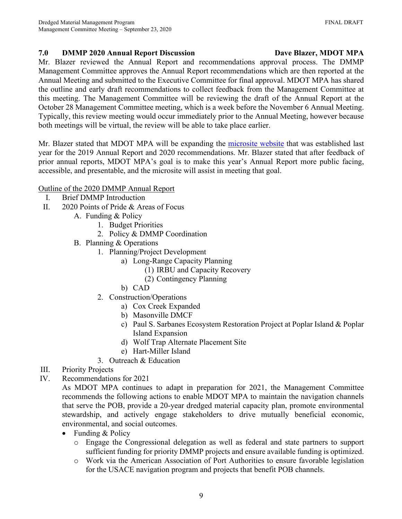# **7.0 DMMP 2020 Annual Report Discussion Dave Blazer, MDOT MPA**

Mr. Blazer reviewed the Annual Report and recommendations approval process. The DMMP Management Committee approves the Annual Report recommendations which are then reported at the Annual Meeting and submitted to the Executive Committee for final approval. MDOT MPA has shared the outline and early draft recommendations to collect feedback from the Management Committee at this meeting. The Management Committee will be reviewing the draft of the Annual Report at the October 28 Management Committee meeting, which is a week before the November 6 Annual Meeting. Typically, this review meeting would occur immediately prior to the Annual Meeting, however because both meetings will be virtual, the review will be able to take place earlier.

Mr. Blazer stated that MDOT MPA will be expanding the [microsite](https://mpadmmpannualreport.com/) website that was established last year for the 2019 Annual Report and 2020 recommendations. Mr. Blazer stated that after feedback of prior annual reports, MDOT MPA's goal is to make this year's Annual Report more public facing, accessible, and presentable, and the microsite will assist in meeting that goal.

# Outline of the 2020 DMMP Annual Report

- I. Brief DMMP Introduction
- II. 2020 Points of Pride & Areas of Focus
	- A. Funding & Policy
		- 1. Budget Priorities
		- 2. Policy & DMMP Coordination
	- B. Planning & Operations
		- 1. Planning/Project Development
			- a) Long-Range Capacity Planning
				- (1) IRBU and Capacity Recovery
				- (2) Contingency Planning
			- b) CAD
		- 2. Construction/Operations
			- a) Cox Creek Expanded
			- b) Masonville DMCF
			- c) Paul S. Sarbanes Ecosystem Restoration Project at Poplar Island & Poplar Island Expansion
			- d) Wolf Trap Alternate Placement Site
			- e) Hart-Miller Island
		- 3. Outreach & Education
- III. Priority Projects
- IV. Recommendations for 2021
	- As MDOT MPA continues to adapt in preparation for 2021, the Management Committee recommends the following actions to enable MDOT MPA to maintain the navigation channels that serve the POB, provide a 20-year dredged material capacity plan, promote environmental stewardship, and actively engage stakeholders to drive mutually beneficial economic, environmental, and social outcomes.
		- Funding & Policy
			- o Engage the Congressional delegation as well as federal and state partners to support sufficient funding for priority DMMP projects and ensure available funding is optimized.
			- o Work via the American Association of Port Authorities to ensure favorable legislation for the USACE navigation program and projects that benefit POB channels.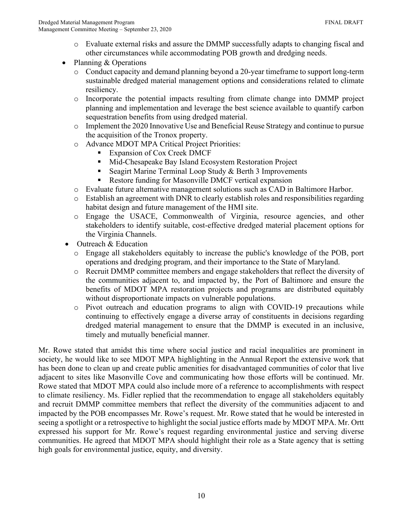- o Evaluate external risks and assure the DMMP successfully adapts to changing fiscal and other circumstances while accommodating POB growth and dredging needs.
- Planning & Operations
	- o Conduct capacity and demand planning beyond a 20-year timeframe to support long-term sustainable dredged material management options and considerations related to climate resiliency.
	- o Incorporate the potential impacts resulting from climate change into DMMP project planning and implementation and leverage the best science available to quantify carbon sequestration benefits from using dredged material.
	- o Implement the 2020 Innovative Use and Beneficial Reuse Strategy and continue to pursue the acquisition of the Tronox property.
	- o Advance MDOT MPA Critical Project Priorities:
		- Expansion of Cox Creek DMCF
		- Mid-Chesapeake Bay Island Ecosystem Restoration Project
		- Seagirt Marine Terminal Loop Study & Berth 3 Improvements
		- Restore funding for Masonville DMCF vertical expansion
	- o Evaluate future alternative management solutions such as CAD in Baltimore Harbor.
	- o Establish an agreement with DNR to clearly establish roles and responsibilities regarding habitat design and future management of the HMI site.
	- o Engage the USACE, Commonwealth of Virginia, resource agencies, and other stakeholders to identify suitable, cost-effective dredged material placement options for the Virginia Channels.
- Outreach & Education
	- o Engage all stakeholders equitably to increase the public's knowledge of the POB, port operations and dredging program, and their importance to the State of Maryland.
	- o Recruit DMMP committee members and engage stakeholders that reflect the diversity of the communities adjacent to, and impacted by, the Port of Baltimore and ensure the benefits of MDOT MPA restoration projects and programs are distributed equitably without disproportionate impacts on vulnerable populations.
	- o Pivot outreach and education programs to align with COVID-19 precautions while continuing to effectively engage a diverse array of constituents in decisions regarding dredged material management to ensure that the DMMP is executed in an inclusive, timely and mutually beneficial manner.

Mr. Rowe stated that amidst this time where social justice and racial inequalities are prominent in society, he would like to see MDOT MPA highlighting in the Annual Report the extensive work that has been done to clean up and create public amenities for disadvantaged communities of color that live adjacent to sites like Masonville Cove and communicating how those efforts will be continued. Mr. Rowe stated that MDOT MPA could also include more of a reference to accomplishments with respect to climate resiliency. Ms. Fidler replied that the recommendation to engage all stakeholders equitably and recruit DMMP committee members that reflect the diversity of the communities adjacent to and impacted by the POB encompasses Mr. Rowe's request. Mr. Rowe stated that he would be interested in seeing a spotlight or a retrospective to highlight the social justice efforts made by MDOT MPA. Mr. Ortt expressed his support for Mr. Rowe's request regarding environmental justice and serving diverse communities. He agreed that MDOT MPA should highlight their role as a State agency that is setting high goals for environmental justice, equity, and diversity.